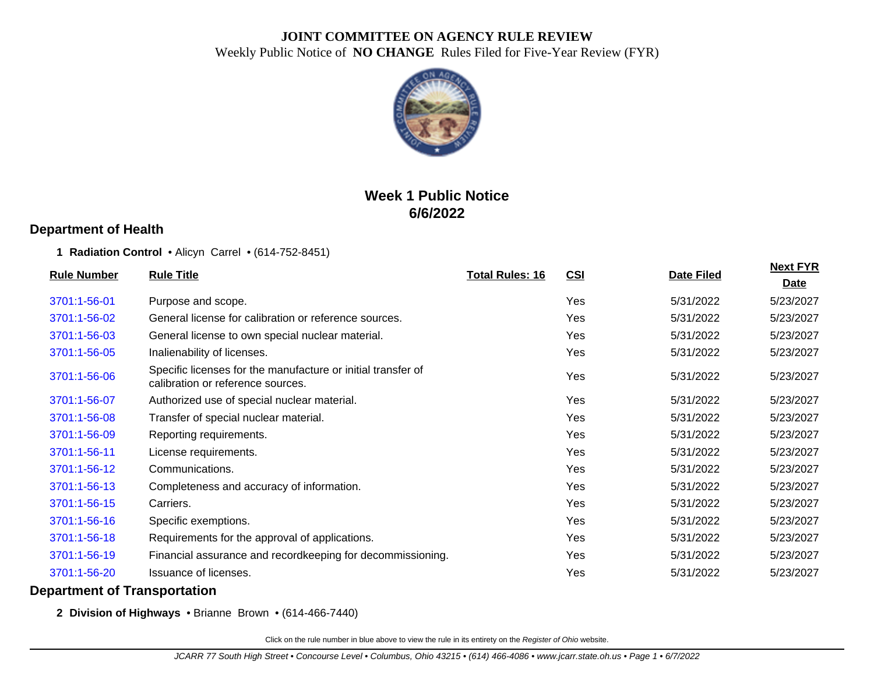

# **Week 1 Public Notice 6/6/2022**

### **Department of Health**

#### **1 Radiation Control** • Alicyn Carrel • (614-752-8451)

| <b>Rule Number</b> | <b>Rule Title</b>                                                                                 | <b>Total Rules: 16</b> | <b>CSI</b> | Date Filed | <b>Next FYR</b> |
|--------------------|---------------------------------------------------------------------------------------------------|------------------------|------------|------------|-----------------|
|                    |                                                                                                   |                        |            |            | <u>Date</u>     |
| 3701:1-56-01       | Purpose and scope.                                                                                |                        | Yes        | 5/31/2022  | 5/23/2027       |
| 3701:1-56-02       | General license for calibration or reference sources.                                             |                        | Yes        | 5/31/2022  | 5/23/2027       |
| 3701:1-56-03       | General license to own special nuclear material.                                                  |                        | Yes        | 5/31/2022  | 5/23/2027       |
| 3701:1-56-05       | Inalienability of licenses.                                                                       |                        | Yes        | 5/31/2022  | 5/23/2027       |
| 3701:1-56-06       | Specific licenses for the manufacture or initial transfer of<br>calibration or reference sources. |                        | Yes        | 5/31/2022  | 5/23/2027       |
| 3701:1-56-07       | Authorized use of special nuclear material.                                                       |                        | Yes        | 5/31/2022  | 5/23/2027       |
| 3701:1-56-08       | Transfer of special nuclear material.                                                             |                        | Yes        | 5/31/2022  | 5/23/2027       |
| 3701:1-56-09       | Reporting requirements.                                                                           |                        | Yes        | 5/31/2022  | 5/23/2027       |
| 3701:1-56-11       | License requirements.                                                                             |                        | Yes        | 5/31/2022  | 5/23/2027       |
| 3701:1-56-12       | Communications.                                                                                   |                        | Yes        | 5/31/2022  | 5/23/2027       |
| 3701:1-56-13       | Completeness and accuracy of information.                                                         |                        | Yes        | 5/31/2022  | 5/23/2027       |
| 3701:1-56-15       | Carriers.                                                                                         |                        | Yes        | 5/31/2022  | 5/23/2027       |
| 3701:1-56-16       | Specific exemptions.                                                                              |                        | Yes        | 5/31/2022  | 5/23/2027       |
| 3701:1-56-18       | Requirements for the approval of applications.                                                    |                        | Yes        | 5/31/2022  | 5/23/2027       |
| 3701:1-56-19       | Financial assurance and recordkeeping for decommissioning.                                        |                        | Yes        | 5/31/2022  | 5/23/2027       |
| 3701:1-56-20       | <b>Issuance of licenses.</b>                                                                      |                        | Yes        | 5/31/2022  | 5/23/2027       |
|                    |                                                                                                   |                        |            |            |                 |

#### **Department of Transportation**

**2 Division of Highways** • Brianne Brown • (614-466-7440)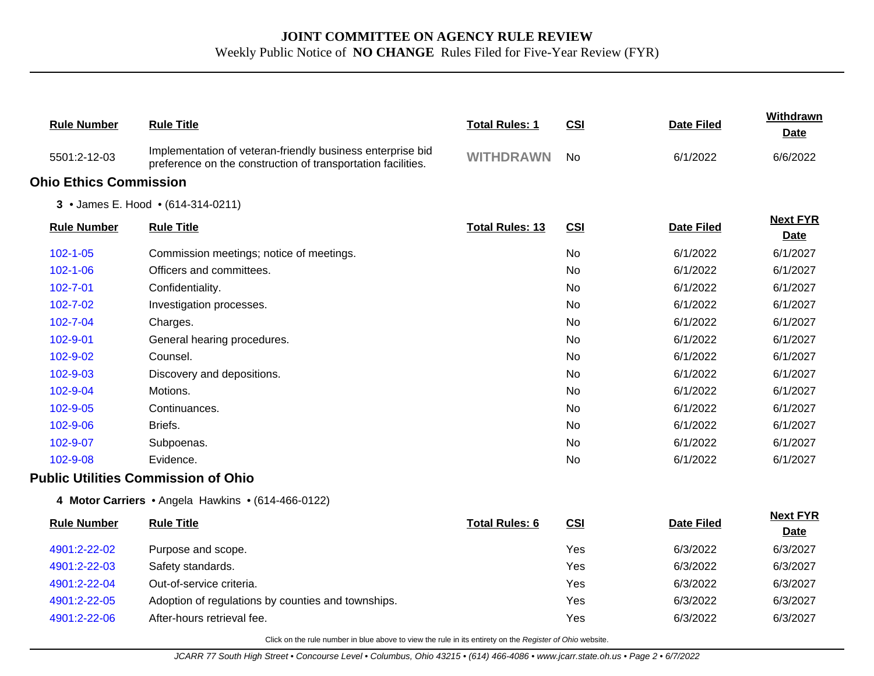| <b>Rule Number</b>            | <b>Rule Title</b>                                                                                                          | <b>Total Rules: 1</b>  | <b>CSI</b> | <b>Date Filed</b> | Withdrawn<br><b>Date</b>       |
|-------------------------------|----------------------------------------------------------------------------------------------------------------------------|------------------------|------------|-------------------|--------------------------------|
| 5501:2-12-03                  | Implementation of veteran-friendly business enterprise bid<br>preference on the construction of transportation facilities. | <b>WITHDRAWN</b>       | <b>No</b>  | 6/1/2022          | 6/6/2022                       |
| <b>Ohio Ethics Commission</b> |                                                                                                                            |                        |            |                   |                                |
|                               | 3 • James E. Hood • (614-314-0211)                                                                                         |                        |            |                   |                                |
| <b>Rule Number</b>            | <b>Rule Title</b>                                                                                                          | <b>Total Rules: 13</b> | CSI        | <b>Date Filed</b> | <b>Next FYR</b><br><b>Date</b> |
| $102 - 1 - 05$                | Commission meetings; notice of meetings.                                                                                   |                        | No         | 6/1/2022          | 6/1/2027                       |
| $102 - 1 - 06$                | Officers and committees.                                                                                                   |                        | <b>No</b>  | 6/1/2022          | 6/1/2027                       |
| 102-7-01                      | Confidentiality.                                                                                                           |                        | <b>No</b>  | 6/1/2022          | 6/1/2027                       |
| 102-7-02                      | Investigation processes.                                                                                                   |                        | No         | 6/1/2022          | 6/1/2027                       |
| 102-7-04                      | Charges.                                                                                                                   |                        | No         | 6/1/2022          | 6/1/2027                       |
| 102-9-01                      | General hearing procedures.                                                                                                |                        | No         | 6/1/2022          | 6/1/2027                       |
| 102-9-02                      | Counsel.                                                                                                                   |                        | <b>No</b>  | 6/1/2022          | 6/1/2027                       |
| 102-9-03                      | Discovery and depositions.                                                                                                 |                        | No         | 6/1/2022          | 6/1/2027                       |
| 102-9-04                      | Motions.                                                                                                                   |                        | No.        | 6/1/2022          | 6/1/2027                       |
| 102-9-05                      | Continuances.                                                                                                              |                        | No         | 6/1/2022          | 6/1/2027                       |
| 102-9-06                      | Briefs.                                                                                                                    |                        | No         | 6/1/2022          | 6/1/2027                       |
| 102-9-07                      | Subpoenas.                                                                                                                 |                        | <b>No</b>  | 6/1/2022          | 6/1/2027                       |
| 102-9-08                      | Evidence.                                                                                                                  |                        | No.        | 6/1/2022          | 6/1/2027                       |
|                               | <b>Public Utilities Commission of Ohio</b>                                                                                 |                        |            |                   |                                |
|                               | 4 Motor Carriers • Angela Hawkins • (614-466-0122)                                                                         |                        |            |                   |                                |
| <b>Rule Number</b>            | <b>Rule Title</b>                                                                                                          | <b>Total Rules: 6</b>  | <b>CSI</b> | <b>Date Filed</b> | <b>Next FYR</b><br><b>Date</b> |
| 4901:2-22-02                  | Purpose and scope.                                                                                                         |                        | Yes        | 6/3/2022          | 6/3/2027                       |
| 4901:2-22-03                  | Safety standards.                                                                                                          |                        | Yes        | 6/3/2022          | 6/3/2027                       |
| 4901:2-22-04                  | Out-of-service criteria.                                                                                                   |                        | Yes        | 6/3/2022          | 6/3/2027                       |
| 4901:2-22-05                  | Adoption of regulations by counties and townships.                                                                         |                        | Yes        | 6/3/2022          | 6/3/2027                       |
| 4901:2-22-06                  | After-hours retrieval fee.                                                                                                 |                        | Yes        | 6/3/2022          | 6/3/2027                       |
|                               | Click on the rule number in blue above to view the rule in its entirety on the Register of Ohio website.                   |                        |            |                   |                                |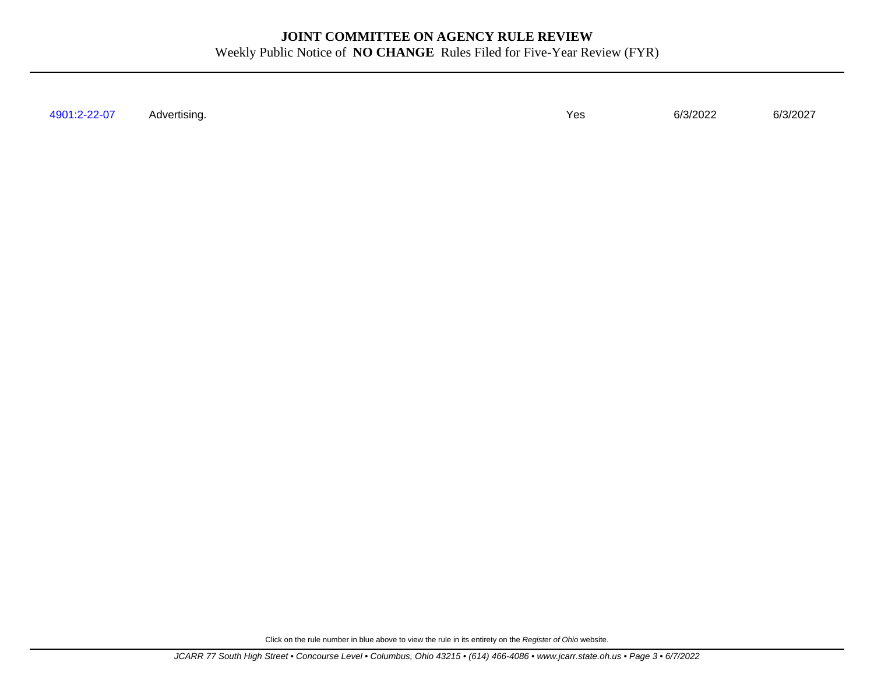[4901:2-22-07](http://www.registerofohio.state.oh.us/jsps/publicdisplayrules/processPublicDisplayRules.jsp?entered_rule_no=4901:2-22-07&doWhat=GETBYRULENUM&raID=0) Advertising. Yes 6/3/2022 6/3/2027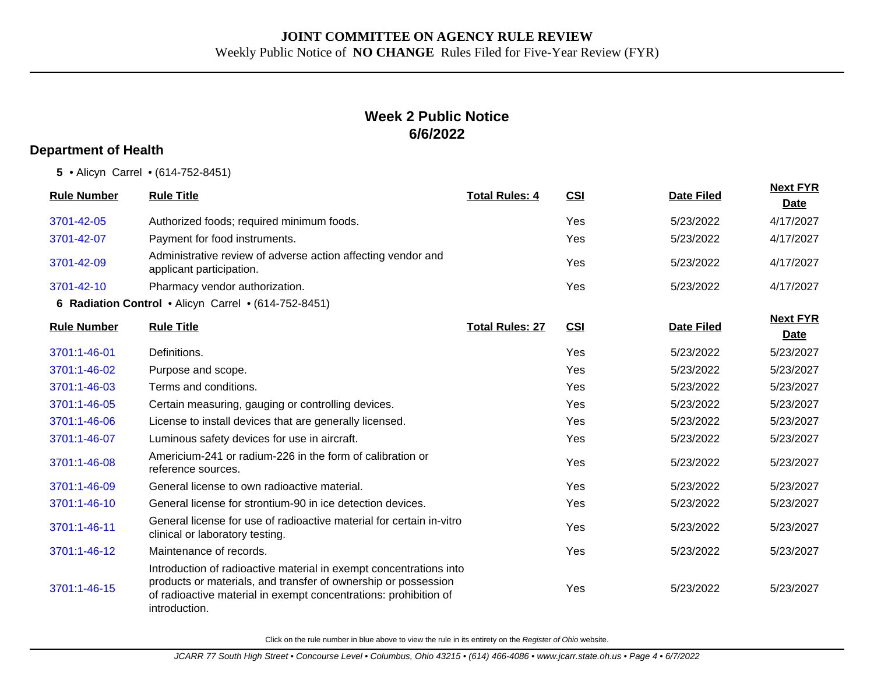## **Week 2 Public Notice 6/6/2022**

#### **Department of Health**

**5** • Alicyn Carrel • (614-752-8451)

| <b>Rule Number</b> | <b>Rule Title</b>                                                                                                                                                                                                         | <b>Total Rules: 4</b>  | <b>CSI</b> | <b>Date Filed</b> | <b>Next FYR</b><br>Date        |
|--------------------|---------------------------------------------------------------------------------------------------------------------------------------------------------------------------------------------------------------------------|------------------------|------------|-------------------|--------------------------------|
| 3701-42-05         | Authorized foods; required minimum foods.                                                                                                                                                                                 |                        | Yes        | 5/23/2022         | 4/17/2027                      |
| 3701-42-07         | Payment for food instruments.                                                                                                                                                                                             |                        | Yes        | 5/23/2022         | 4/17/2027                      |
| 3701-42-09         | Administrative review of adverse action affecting vendor and<br>applicant participation.                                                                                                                                  |                        | Yes        | 5/23/2022         | 4/17/2027                      |
| 3701-42-10         | Pharmacy vendor authorization.                                                                                                                                                                                            |                        | Yes        | 5/23/2022         | 4/17/2027                      |
|                    | 6 Radiation Control . Alicyn Carrel . (614-752-8451)                                                                                                                                                                      |                        |            |                   |                                |
| <b>Rule Number</b> | <b>Rule Title</b>                                                                                                                                                                                                         | <b>Total Rules: 27</b> | CSI        | <b>Date Filed</b> | <b>Next FYR</b><br><b>Date</b> |
| 3701:1-46-01       | Definitions.                                                                                                                                                                                                              |                        | Yes        | 5/23/2022         | 5/23/2027                      |
| 3701:1-46-02       | Purpose and scope.                                                                                                                                                                                                        |                        | Yes        | 5/23/2022         | 5/23/2027                      |
| 3701:1-46-03       | Terms and conditions.                                                                                                                                                                                                     |                        | Yes        | 5/23/2022         | 5/23/2027                      |
| 3701:1-46-05       | Certain measuring, gauging or controlling devices.                                                                                                                                                                        |                        | Yes        | 5/23/2022         | 5/23/2027                      |
| 3701:1-46-06       | License to install devices that are generally licensed.                                                                                                                                                                   |                        | Yes        | 5/23/2022         | 5/23/2027                      |
| 3701:1-46-07       | Luminous safety devices for use in aircraft.                                                                                                                                                                              |                        | Yes        | 5/23/2022         | 5/23/2027                      |
| 3701:1-46-08       | Americium-241 or radium-226 in the form of calibration or<br>reference sources.                                                                                                                                           |                        | Yes        | 5/23/2022         | 5/23/2027                      |
| 3701:1-46-09       | General license to own radioactive material.                                                                                                                                                                              |                        | Yes        | 5/23/2022         | 5/23/2027                      |
| 3701:1-46-10       | General license for strontium-90 in ice detection devices.                                                                                                                                                                |                        | Yes        | 5/23/2022         | 5/23/2027                      |
| 3701:1-46-11       | General license for use of radioactive material for certain in-vitro<br>clinical or laboratory testing.                                                                                                                   |                        | Yes        | 5/23/2022         | 5/23/2027                      |
| 3701:1-46-12       | Maintenance of records.                                                                                                                                                                                                   |                        | Yes        | 5/23/2022         | 5/23/2027                      |
| 3701:1-46-15       | Introduction of radioactive material in exempt concentrations into<br>products or materials, and transfer of ownership or possession<br>of radioactive material in exempt concentrations: prohibition of<br>introduction. |                        | Yes        | 5/23/2022         | 5/23/2027                      |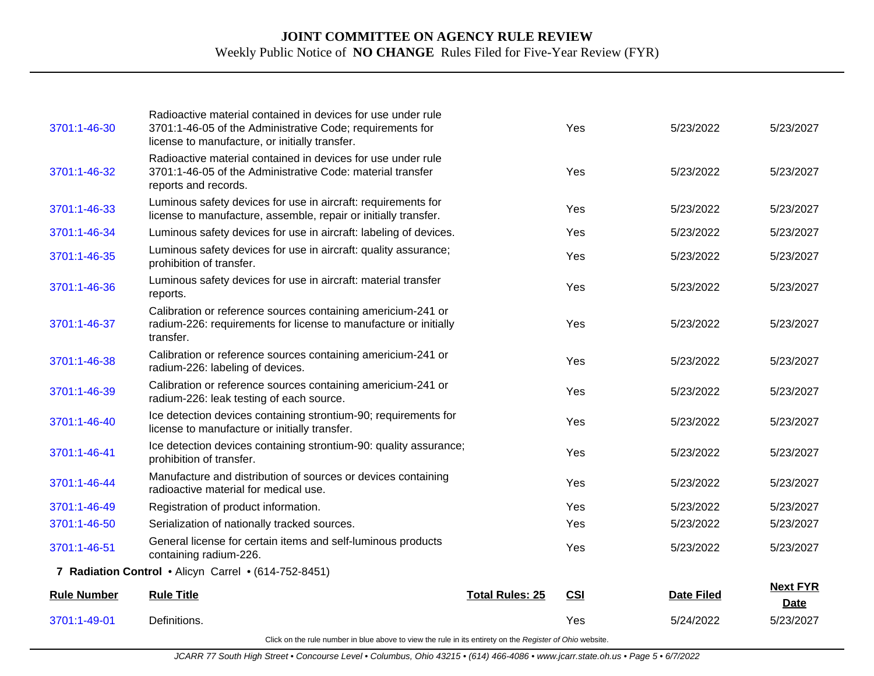| 3701:1-46-30       | Radioactive material contained in devices for use under rule<br>3701:1-46-05 of the Administrative Code; requirements for<br>license to manufacture, or initially transfer. |                        | Yes        | 5/23/2022         | 5/23/2027                      |
|--------------------|-----------------------------------------------------------------------------------------------------------------------------------------------------------------------------|------------------------|------------|-------------------|--------------------------------|
| 3701:1-46-32       | Radioactive material contained in devices for use under rule<br>3701:1-46-05 of the Administrative Code: material transfer<br>reports and records.                          |                        | Yes        | 5/23/2022         | 5/23/2027                      |
| 3701:1-46-33       | Luminous safety devices for use in aircraft: requirements for<br>license to manufacture, assemble, repair or initially transfer.                                            |                        | Yes        | 5/23/2022         | 5/23/2027                      |
| 3701:1-46-34       | Luminous safety devices for use in aircraft: labeling of devices.                                                                                                           |                        | Yes        | 5/23/2022         | 5/23/2027                      |
| 3701:1-46-35       | Luminous safety devices for use in aircraft: quality assurance;<br>prohibition of transfer.                                                                                 |                        | Yes        | 5/23/2022         | 5/23/2027                      |
| 3701:1-46-36       | Luminous safety devices for use in aircraft: material transfer<br>reports.                                                                                                  |                        | Yes        | 5/23/2022         | 5/23/2027                      |
| 3701:1-46-37       | Calibration or reference sources containing americium-241 or<br>radium-226: requirements for license to manufacture or initially<br>transfer.                               |                        | Yes        | 5/23/2022         | 5/23/2027                      |
| 3701:1-46-38       | Calibration or reference sources containing americium-241 or<br>radium-226: labeling of devices.                                                                            |                        | Yes        | 5/23/2022         | 5/23/2027                      |
| 3701:1-46-39       | Calibration or reference sources containing americium-241 or<br>radium-226: leak testing of each source.                                                                    |                        | Yes        | 5/23/2022         | 5/23/2027                      |
| 3701:1-46-40       | Ice detection devices containing strontium-90; requirements for<br>license to manufacture or initially transfer.                                                            |                        | Yes        | 5/23/2022         | 5/23/2027                      |
| 3701:1-46-41       | Ice detection devices containing strontium-90: quality assurance;<br>prohibition of transfer.                                                                               |                        | Yes        | 5/23/2022         | 5/23/2027                      |
| 3701:1-46-44       | Manufacture and distribution of sources or devices containing<br>radioactive material for medical use.                                                                      |                        | Yes        | 5/23/2022         | 5/23/2027                      |
| 3701:1-46-49       | Registration of product information.                                                                                                                                        |                        | Yes        | 5/23/2022         | 5/23/2027                      |
| 3701:1-46-50       | Serialization of nationally tracked sources.                                                                                                                                |                        | Yes        | 5/23/2022         | 5/23/2027                      |
| 3701:1-46-51       | General license for certain items and self-luminous products<br>containing radium-226.                                                                                      |                        | Yes        | 5/23/2022         | 5/23/2027                      |
|                    | 7 Radiation Control . Alicyn Carrel . (614-752-8451)                                                                                                                        |                        |            |                   |                                |
| <b>Rule Number</b> | <b>Rule Title</b>                                                                                                                                                           | <b>Total Rules: 25</b> | <b>CSI</b> | <b>Date Filed</b> | <b>Next FYR</b><br><b>Date</b> |
| 3701:1-49-01       | Definitions.                                                                                                                                                                |                        | Yes        | 5/24/2022         | 5/23/2027                      |
|                    |                                                                                                                                                                             |                        |            |                   |                                |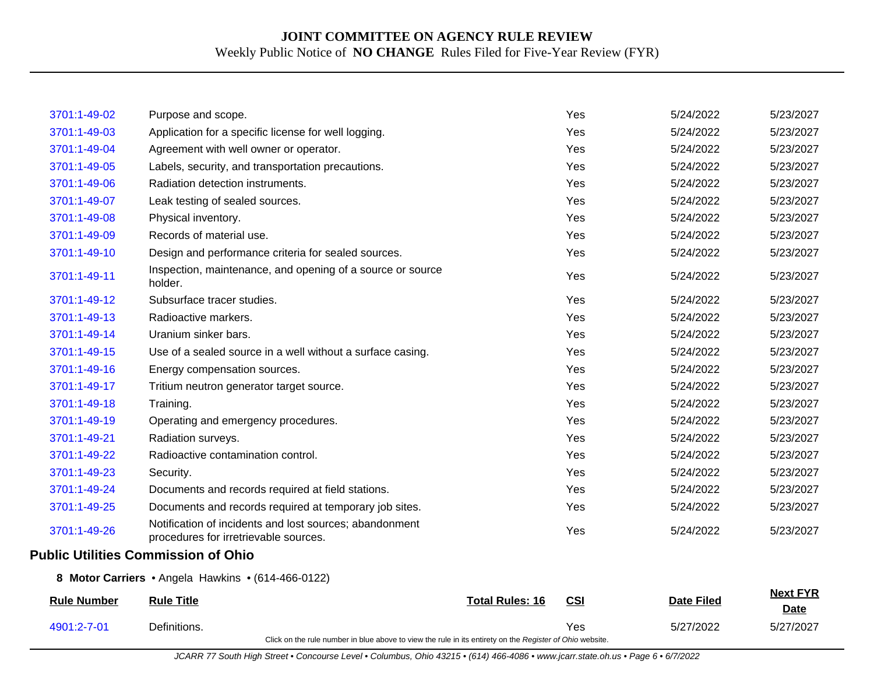| 3701:1-49-02       | Purpose and scope.                                                                                       |                        | Yes        | 5/24/2022         | 5/23/2027                      |
|--------------------|----------------------------------------------------------------------------------------------------------|------------------------|------------|-------------------|--------------------------------|
| 3701:1-49-03       | Application for a specific license for well logging.                                                     |                        | Yes        | 5/24/2022         | 5/23/2027                      |
| 3701:1-49-04       | Agreement with well owner or operator.                                                                   |                        | Yes        | 5/24/2022         | 5/23/2027                      |
| 3701:1-49-05       | Labels, security, and transportation precautions.                                                        |                        | Yes        | 5/24/2022         | 5/23/2027                      |
| 3701:1-49-06       | Radiation detection instruments.                                                                         |                        | Yes        | 5/24/2022         | 5/23/2027                      |
| 3701:1-49-07       | Leak testing of sealed sources.                                                                          |                        | Yes        | 5/24/2022         | 5/23/2027                      |
| 3701:1-49-08       | Physical inventory.                                                                                      |                        | Yes        | 5/24/2022         | 5/23/2027                      |
| 3701:1-49-09       | Records of material use.                                                                                 |                        | Yes        | 5/24/2022         | 5/23/2027                      |
| 3701:1-49-10       | Design and performance criteria for sealed sources.                                                      |                        | Yes        | 5/24/2022         | 5/23/2027                      |
| 3701:1-49-11       | Inspection, maintenance, and opening of a source or source<br>holder.                                    |                        | Yes        | 5/24/2022         | 5/23/2027                      |
| 3701:1-49-12       | Subsurface tracer studies.                                                                               |                        | Yes        | 5/24/2022         | 5/23/2027                      |
| 3701:1-49-13       | Radioactive markers.                                                                                     |                        | Yes        | 5/24/2022         | 5/23/2027                      |
| 3701:1-49-14       | Uranium sinker bars.                                                                                     |                        | Yes        | 5/24/2022         | 5/23/2027                      |
| 3701:1-49-15       | Use of a sealed source in a well without a surface casing.                                               |                        | Yes        | 5/24/2022         | 5/23/2027                      |
| 3701:1-49-16       | Energy compensation sources.                                                                             |                        | Yes        | 5/24/2022         | 5/23/2027                      |
| 3701:1-49-17       | Tritium neutron generator target source.                                                                 |                        | Yes        | 5/24/2022         | 5/23/2027                      |
| 3701:1-49-18       | Training.                                                                                                |                        | Yes        | 5/24/2022         | 5/23/2027                      |
| 3701:1-49-19       | Operating and emergency procedures.                                                                      |                        | Yes        | 5/24/2022         | 5/23/2027                      |
| 3701:1-49-21       | Radiation surveys.                                                                                       |                        | Yes        | 5/24/2022         | 5/23/2027                      |
| 3701:1-49-22       | Radioactive contamination control.                                                                       |                        | Yes        | 5/24/2022         | 5/23/2027                      |
| 3701:1-49-23       | Security.                                                                                                |                        | Yes        | 5/24/2022         | 5/23/2027                      |
| 3701:1-49-24       | Documents and records required at field stations.                                                        |                        | Yes        | 5/24/2022         | 5/23/2027                      |
| 3701:1-49-25       | Documents and records required at temporary job sites.                                                   |                        | Yes        | 5/24/2022         | 5/23/2027                      |
| 3701:1-49-26       | Notification of incidents and lost sources; abandonment<br>procedures for irretrievable sources.         |                        | Yes        | 5/24/2022         | 5/23/2027                      |
|                    | <b>Public Utilities Commission of Ohio</b>                                                               |                        |            |                   |                                |
|                    | 8 Motor Carriers • Angela Hawkins • (614-466-0122)                                                       |                        |            |                   |                                |
| <b>Rule Number</b> | <b>Rule Title</b>                                                                                        | <b>Total Rules: 16</b> | <b>CSI</b> | <b>Date Filed</b> | <b>Next FYR</b><br><b>Date</b> |
| 4901:2-7-01        | Definitions.                                                                                             |                        | Yes        | 5/27/2022         | 5/27/2027                      |
|                    | Click on the rule number in blue above to view the rule in its entirety on the Register of Ohio website. |                        |            |                   |                                |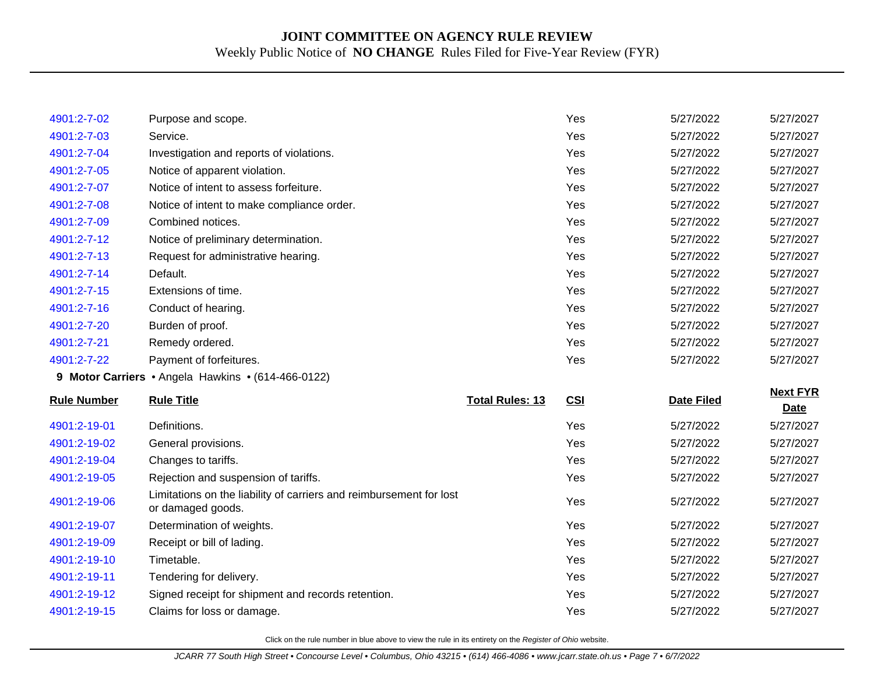| 4901:2-7-02        | Purpose and scope.                                                                       |                        | Yes | 5/27/2022         | 5/27/2027                      |
|--------------------|------------------------------------------------------------------------------------------|------------------------|-----|-------------------|--------------------------------|
| 4901:2-7-03        | Service.                                                                                 |                        | Yes | 5/27/2022         | 5/27/2027                      |
| 4901:2-7-04        | Investigation and reports of violations.                                                 |                        | Yes | 5/27/2022         | 5/27/2027                      |
| 4901:2-7-05        | Notice of apparent violation.                                                            |                        | Yes | 5/27/2022         | 5/27/2027                      |
| 4901:2-7-07        | Notice of intent to assess forfeiture.                                                   |                        | Yes | 5/27/2022         | 5/27/2027                      |
| 4901:2-7-08        | Notice of intent to make compliance order.                                               |                        | Yes | 5/27/2022         | 5/27/2027                      |
| 4901:2-7-09        | Combined notices.                                                                        |                        | Yes | 5/27/2022         | 5/27/2027                      |
| 4901:2-7-12        | Notice of preliminary determination.                                                     |                        | Yes | 5/27/2022         | 5/27/2027                      |
| 4901:2-7-13        | Request for administrative hearing.                                                      |                        | Yes | 5/27/2022         | 5/27/2027                      |
| 4901:2-7-14        | Default.                                                                                 |                        | Yes | 5/27/2022         | 5/27/2027                      |
| 4901:2-7-15        | Extensions of time.                                                                      |                        | Yes | 5/27/2022         | 5/27/2027                      |
| 4901:2-7-16        | Conduct of hearing.                                                                      |                        | Yes | 5/27/2022         | 5/27/2027                      |
| 4901:2-7-20        | Burden of proof.                                                                         |                        | Yes | 5/27/2022         | 5/27/2027                      |
| 4901:2-7-21        | Remedy ordered.                                                                          |                        | Yes | 5/27/2022         | 5/27/2027                      |
| 4901:2-7-22        | Payment of forfeitures.                                                                  |                        | Yes | 5/27/2022         | 5/27/2027                      |
|                    |                                                                                          |                        |     |                   |                                |
|                    | 9 Motor Carriers • Angela Hawkins • (614-466-0122)                                       |                        |     |                   |                                |
| <b>Rule Number</b> | <b>Rule Title</b>                                                                        | <b>Total Rules: 13</b> | CSI | <b>Date Filed</b> | <b>Next FYR</b><br><b>Date</b> |
| 4901:2-19-01       | Definitions.                                                                             |                        | Yes | 5/27/2022         | 5/27/2027                      |
| 4901:2-19-02       | General provisions.                                                                      |                        | Yes | 5/27/2022         | 5/27/2027                      |
| 4901:2-19-04       | Changes to tariffs.                                                                      |                        | Yes | 5/27/2022         | 5/27/2027                      |
| 4901:2-19-05       | Rejection and suspension of tariffs.                                                     |                        | Yes | 5/27/2022         | 5/27/2027                      |
| 4901:2-19-06       | Limitations on the liability of carriers and reimbursement for lost<br>or damaged goods. |                        | Yes | 5/27/2022         | 5/27/2027                      |
| 4901:2-19-07       | Determination of weights.                                                                |                        | Yes | 5/27/2022         | 5/27/2027                      |
| 4901:2-19-09       | Receipt or bill of lading.                                                               |                        | Yes | 5/27/2022         | 5/27/2027                      |
| 4901:2-19-10       | Timetable.                                                                               |                        | Yes | 5/27/2022         | 5/27/2027                      |
| 4901:2-19-11       | Tendering for delivery.                                                                  |                        | Yes | 5/27/2022         | 5/27/2027                      |
| 4901:2-19-12       | Signed receipt for shipment and records retention.                                       |                        | Yes | 5/27/2022         | 5/27/2027                      |
| 4901:2-19-15       | Claims for loss or damage.                                                               |                        | Yes | 5/27/2022         | 5/27/2027                      |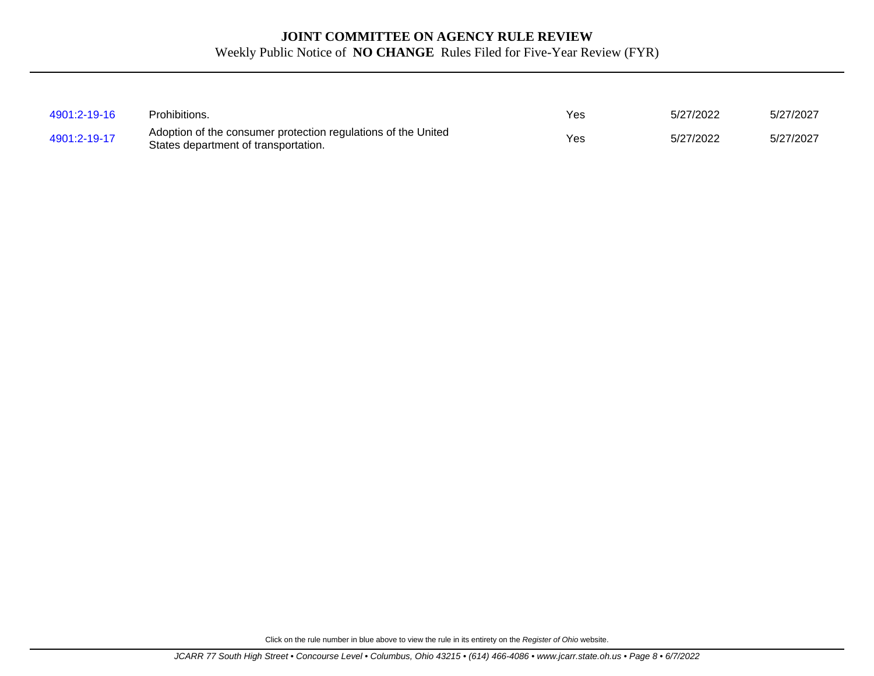| 4901:2-19-16 | Prohibitions.                                                                                         | Yes | 5/27/2022 | 5/27/2027 |
|--------------|-------------------------------------------------------------------------------------------------------|-----|-----------|-----------|
| 4901:2-19-17 | Adoption of the consumer protection regulations of the United<br>States department of transportation. | Yes | 5/27/2022 | 5/27/2027 |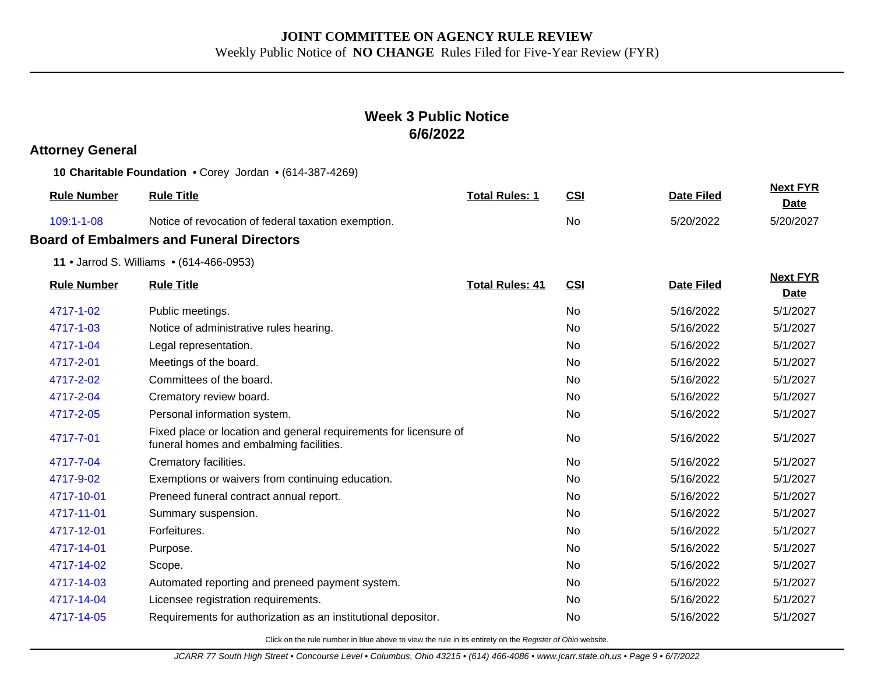## **Week 3 Public Notice 6/6/2022**

## **Attorney General**

**10 Charitable Foundation** • Corey Jordan • (614-387-4269)

| <b>Rule Number</b> | <b>Rule Title</b>                                                                                            | <b>Total Rules: 1</b>  | <b>CSI</b> | <b>Date Filed</b> | <b>Next FYR</b><br><b>Date</b> |
|--------------------|--------------------------------------------------------------------------------------------------------------|------------------------|------------|-------------------|--------------------------------|
| 109:1-1-08         | Notice of revocation of federal taxation exemption.                                                          |                        | No         | 5/20/2022         | 5/20/2027                      |
|                    | <b>Board of Embalmers and Funeral Directors</b>                                                              |                        |            |                   |                                |
|                    | 11 • Jarrod S. Williams • (614-466-0953)                                                                     |                        |            |                   |                                |
| <b>Rule Number</b> | <b>Rule Title</b>                                                                                            | <b>Total Rules: 41</b> | <b>CSI</b> | <b>Date Filed</b> | <b>Next FYR</b><br><b>Date</b> |
| 4717-1-02          | Public meetings.                                                                                             |                        | No         | 5/16/2022         | 5/1/2027                       |
| 4717-1-03          | Notice of administrative rules hearing.                                                                      |                        | No         | 5/16/2022         | 5/1/2027                       |
| 4717-1-04          | Legal representation.                                                                                        |                        | <b>No</b>  | 5/16/2022         | 5/1/2027                       |
| 4717-2-01          | Meetings of the board.                                                                                       |                        | No.        | 5/16/2022         | 5/1/2027                       |
| 4717-2-02          | Committees of the board.                                                                                     |                        | No         | 5/16/2022         | 5/1/2027                       |
| 4717-2-04          | Crematory review board.                                                                                      |                        | <b>No</b>  | 5/16/2022         | 5/1/2027                       |
| 4717-2-05          | Personal information system.                                                                                 |                        | No.        | 5/16/2022         | 5/1/2027                       |
| 4717-7-01          | Fixed place or location and general requirements for licensure of<br>funeral homes and embalming facilities. |                        | <b>No</b>  | 5/16/2022         | 5/1/2027                       |
| 4717-7-04          | Crematory facilities.                                                                                        |                        | No         | 5/16/2022         | 5/1/2027                       |
| 4717-9-02          | Exemptions or waivers from continuing education.                                                             |                        | <b>No</b>  | 5/16/2022         | 5/1/2027                       |
| 4717-10-01         | Preneed funeral contract annual report.                                                                      |                        | No.        | 5/16/2022         | 5/1/2027                       |
| 4717-11-01         | Summary suspension.                                                                                          |                        | No.        | 5/16/2022         | 5/1/2027                       |
| 4717-12-01         | Forfeitures.                                                                                                 |                        | <b>No</b>  | 5/16/2022         | 5/1/2027                       |
| 4717-14-01         | Purpose.                                                                                                     |                        | No.        | 5/16/2022         | 5/1/2027                       |
| 4717-14-02         | Scope.                                                                                                       |                        | No         | 5/16/2022         | 5/1/2027                       |
| 4717-14-03         | Automated reporting and preneed payment system.                                                              |                        | No.        | 5/16/2022         | 5/1/2027                       |
| 4717-14-04         | Licensee registration requirements.                                                                          |                        | No.        | 5/16/2022         | 5/1/2027                       |
| 4717-14-05         | Requirements for authorization as an institutional depositor.                                                |                        | No         | 5/16/2022         | 5/1/2027                       |
|                    |                                                                                                              |                        |            |                   |                                |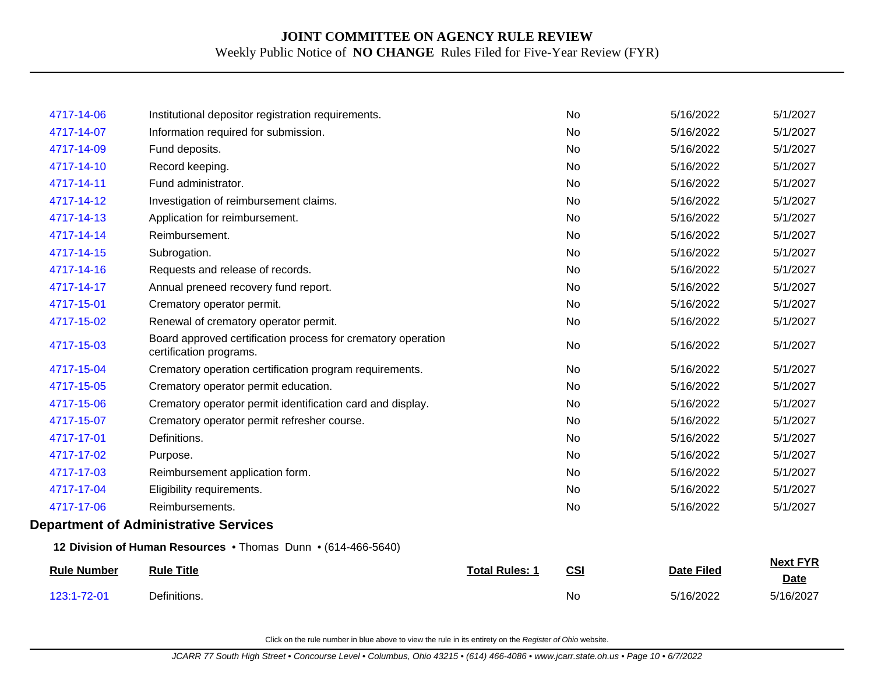| 123:1-72-01        | Definitions.                                                                            |                       | <b>No</b> | 5/16/2022         | 5/16/2027                      |
|--------------------|-----------------------------------------------------------------------------------------|-----------------------|-----------|-------------------|--------------------------------|
| <b>Rule Number</b> | <b>Rule Title</b>                                                                       | <b>Total Rules: 1</b> | CSI       | <b>Date Filed</b> | <b>Next FYR</b><br><b>Date</b> |
|                    | 12 Division of Human Resources . Thomas Dunn . (614-466-5640)                           |                       |           |                   |                                |
|                    | <b>Department of Administrative Services</b>                                            |                       |           |                   |                                |
| 4717-17-06         | Reimbursements.                                                                         |                       | No        | 5/16/2022         | 5/1/2027                       |
| 4717-17-04         | Eligibility requirements.                                                               |                       | <b>No</b> | 5/16/2022         | 5/1/2027                       |
| 4717-17-03         | Reimbursement application form.                                                         |                       | <b>No</b> | 5/16/2022         | 5/1/2027                       |
| 4717-17-02         | Purpose.                                                                                |                       | No        | 5/16/2022         | 5/1/2027                       |
| 4717-17-01         | Definitions.                                                                            |                       | No        | 5/16/2022         | 5/1/2027                       |
| 4717-15-07         | Crematory operator permit refresher course.                                             |                       | <b>No</b> | 5/16/2022         | 5/1/2027                       |
| 4717-15-06         | Crematory operator permit identification card and display.                              |                       | <b>No</b> | 5/16/2022         | 5/1/2027                       |
| 4717-15-05         | Crematory operator permit education.                                                    |                       | <b>No</b> | 5/16/2022         | 5/1/2027                       |
| 4717-15-04         | Crematory operation certification program requirements.                                 |                       | <b>No</b> | 5/16/2022         | 5/1/2027                       |
| 4717-15-03         | Board approved certification process for crematory operation<br>certification programs. |                       | No        | 5/16/2022         | 5/1/2027                       |
| 4717-15-02         | Renewal of crematory operator permit.                                                   |                       | No        | 5/16/2022         | 5/1/2027                       |
| 4717-15-01         | Crematory operator permit.                                                              |                       | <b>No</b> | 5/16/2022         | 5/1/2027                       |
| 4717-14-17         | Annual preneed recovery fund report.                                                    |                       | No        | 5/16/2022         | 5/1/2027                       |
| 4717-14-16         | Requests and release of records.                                                        |                       | No        | 5/16/2022         | 5/1/2027                       |
| 4717-14-15         | Subrogation.                                                                            |                       | <b>No</b> | 5/16/2022         | 5/1/2027                       |
| 4717-14-14         | Reimbursement.                                                                          |                       | No        | 5/16/2022         | 5/1/2027                       |
| 4717-14-13         | Application for reimbursement.                                                          |                       | <b>No</b> | 5/16/2022         | 5/1/2027                       |
| 4717-14-12         | Investigation of reimbursement claims.                                                  |                       | <b>No</b> | 5/16/2022         | 5/1/2027                       |
| 4717-14-11         | Fund administrator.                                                                     |                       | <b>No</b> | 5/16/2022         | 5/1/2027                       |
| 4717-14-10         | Record keeping.                                                                         |                       | No        | 5/16/2022         | 5/1/2027                       |
| 4717-14-09         | Fund deposits.                                                                          |                       | <b>No</b> | 5/16/2022         | 5/1/2027                       |
| 4717-14-07         | Information required for submission.                                                    |                       | <b>No</b> | 5/16/2022         | 5/1/2027                       |
| 4717-14-06         | Institutional depositor registration requirements.                                      |                       | <b>No</b> | 5/16/2022         | 5/1/2027                       |
|                    |                                                                                         |                       |           |                   |                                |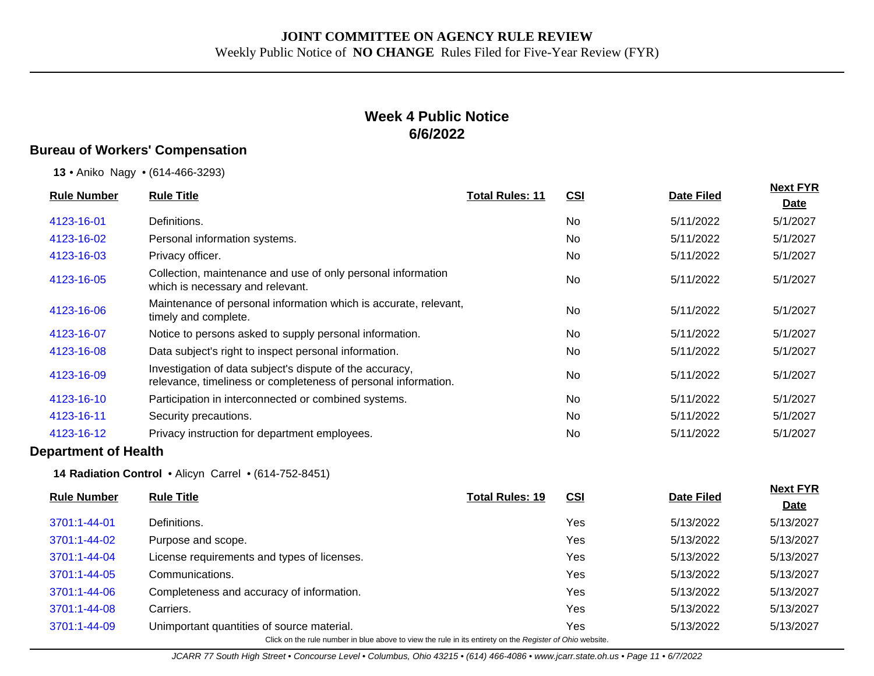## **Week 4 Public Notice 6/6/2022**

### **Bureau of Workers' Compensation**

**13** • Aniko Nagy • (614-466-3293)

|                    | <b>Rule Title</b>                                                                                                          | <b>Total Rules: 11</b> |            |                   | <b>Next FYR</b> |
|--------------------|----------------------------------------------------------------------------------------------------------------------------|------------------------|------------|-------------------|-----------------|
| <b>Rule Number</b> |                                                                                                                            |                        | <u>CSI</u> | <b>Date Filed</b> | <u>Date</u>     |
| 4123-16-01         | Definitions.                                                                                                               |                        | No         | 5/11/2022         | 5/1/2027        |
| 4123-16-02         | Personal information systems.                                                                                              |                        | No.        | 5/11/2022         | 5/1/2027        |
| 4123-16-03         | Privacy officer.                                                                                                           |                        | <b>No</b>  | 5/11/2022         | 5/1/2027        |
| 4123-16-05         | Collection, maintenance and use of only personal information<br>which is necessary and relevant.                           |                        | <b>No</b>  | 5/11/2022         | 5/1/2027        |
| 4123-16-06         | Maintenance of personal information which is accurate, relevant,<br>timely and complete.                                   |                        | No         | 5/11/2022         | 5/1/2027        |
| 4123-16-07         | Notice to persons asked to supply personal information.                                                                    |                        | No         | 5/11/2022         | 5/1/2027        |
| 4123-16-08         | Data subject's right to inspect personal information.                                                                      |                        | <b>No</b>  | 5/11/2022         | 5/1/2027        |
| 4123-16-09         | Investigation of data subject's dispute of the accuracy,<br>relevance, timeliness or completeness of personal information. |                        | No         | 5/11/2022         | 5/1/2027        |
| 4123-16-10         | Participation in interconnected or combined systems.                                                                       |                        | No         | 5/11/2022         | 5/1/2027        |
| 4123-16-11         | Security precautions.                                                                                                      |                        | No         | 5/11/2022         | 5/1/2027        |
| 4123-16-12         | Privacy instruction for department employees.                                                                              |                        | <b>No</b>  | 5/11/2022         | 5/1/2027        |
|                    |                                                                                                                            |                        |            |                   |                 |

#### **Department of Health**

**14 Radiation Control** • Alicyn Carrel • (614-752-8451)

| <b>Rule Number</b>                                                                                       | <b>Rule Title</b>                           | <b>Total Rules: 19</b> | <b>CSI</b> | Date Filed | <b>Next FYR</b> |  |  |
|----------------------------------------------------------------------------------------------------------|---------------------------------------------|------------------------|------------|------------|-----------------|--|--|
|                                                                                                          |                                             |                        |            |            | <b>Date</b>     |  |  |
| 3701:1-44-01                                                                                             | Definitions.                                |                        | Yes        | 5/13/2022  | 5/13/2027       |  |  |
| 3701:1-44-02                                                                                             | Purpose and scope.                          |                        | Yes        | 5/13/2022  | 5/13/2027       |  |  |
| 3701:1-44-04                                                                                             | License requirements and types of licenses. |                        | Yes        | 5/13/2022  | 5/13/2027       |  |  |
| 3701:1-44-05                                                                                             | Communications.                             |                        | Yes        | 5/13/2022  | 5/13/2027       |  |  |
| 3701:1-44-06                                                                                             | Completeness and accuracy of information.   |                        | Yes        | 5/13/2022  | 5/13/2027       |  |  |
| 3701:1-44-08                                                                                             | Carriers.                                   |                        | Yes        | 5/13/2022  | 5/13/2027       |  |  |
| 3701:1-44-09                                                                                             | Unimportant quantities of source material.  |                        | Yes        | 5/13/2022  | 5/13/2027       |  |  |
| Click on the rule number in blue above to view the rule in its entirety on the Register of Ohio website. |                                             |                        |            |            |                 |  |  |

JCARR 77 South High Street • Concourse Level • Columbus, Ohio 43215 • (614) 466-4086 • www.jcarr.state.oh.us • Page 11 • 6/7/2022